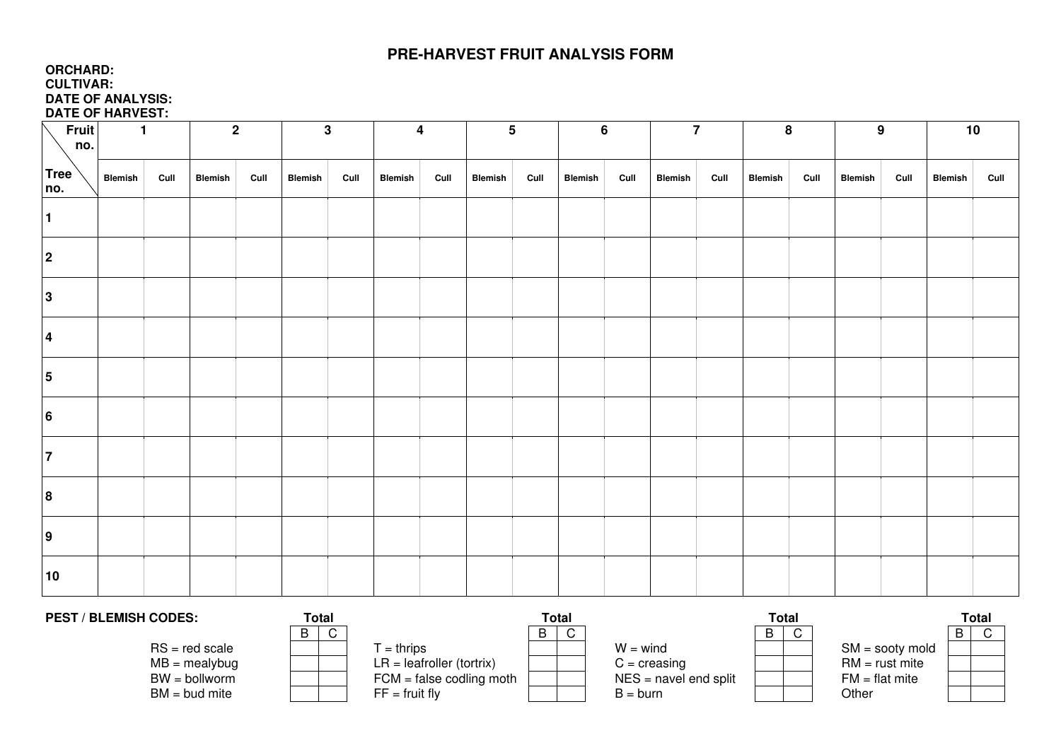## **PRE-HARVEST FRUIT ANALYSIS FORM**

## **ORCHARD: CULTIVAR: DATE OF ANALYSIS: DATE OF HARVEST:**

| Fruit                   | $\mathbf{1}$ |      | $\overline{2}$ | $\mathbf 3$ |                |      | $\overline{\mathbf{4}}$ |      | $5\phantom{.0}$ |      | $6\phantom{1}$ |      | $\overline{7}$ |      | $\bf8$         |      | 9              |      | 10             |      |  |  |
|-------------------------|--------------|------|----------------|-------------|----------------|------|-------------------------|------|-----------------|------|----------------|------|----------------|------|----------------|------|----------------|------|----------------|------|--|--|
| no.                     |              |      |                |             |                |      |                         |      |                 |      |                |      |                |      |                |      |                |      |                |      |  |  |
| Tree<br>no.             | Blemish      | Cull | <b>Blemish</b> | Cull        | <b>Blemish</b> | Cull | Blemish                 | Cull | <b>Blemish</b>  | Cull | <b>Blemish</b> | Cull | <b>Blemish</b> | Cull | <b>Blemish</b> | Cull | <b>Blemish</b> | Cull | <b>Blemish</b> | Cull |  |  |
| $\mathbf{1}$            |              |      |                |             |                |      |                         |      |                 |      |                |      |                |      |                |      |                |      |                |      |  |  |
| $\overline{2}$          |              |      |                |             |                |      |                         |      |                 |      |                |      |                |      |                |      |                |      |                |      |  |  |
| $\mathbf{3}$            |              |      |                |             |                |      |                         |      |                 |      |                |      |                |      |                |      |                |      |                |      |  |  |
| $\overline{\mathbf{4}}$ |              |      |                |             |                |      |                         |      |                 |      |                |      |                |      |                |      |                |      |                |      |  |  |
| $\overline{\mathbf{5}}$ |              |      |                |             |                |      |                         |      |                 |      |                |      |                |      |                |      |                |      |                |      |  |  |
| 6                       |              |      |                |             |                |      |                         |      |                 |      |                |      |                |      |                |      |                |      |                |      |  |  |
| $\overline{7}$          |              |      |                |             |                |      |                         |      |                 |      |                |      |                |      |                |      |                |      |                |      |  |  |
| 8                       |              |      |                |             |                |      |                         |      |                 |      |                |      |                |      |                |      |                |      |                |      |  |  |
| $\overline{9}$          |              |      |                |             |                |      |                         |      |                 |      |                |      |                |      |                |      |                |      |                |      |  |  |
| 10                      |              |      |                |             |                |      |                         |      |                 |      |                |      |                |      |                |      |                |      |                |      |  |  |

| <b>PEST / BLEMISH CODES:</b> | <b>Total</b> |                              | Total |                         | Total |  | Total             |  |  |
|------------------------------|--------------|------------------------------|-------|-------------------------|-------|--|-------------------|--|--|
|                              | $\sim$       |                              | B     |                         | D     |  |                   |  |  |
| $RS = red scale$             |              | $=$ thrips                   |       | $W = wind$              |       |  | $SM =$ sooty mold |  |  |
| $MB =$ mealybug              |              | $LR = leaf roller (tortrix)$ |       | $C = \text{creasing}$   |       |  | $RM = rust$ mite  |  |  |
| $BW =$ bollworm              |              | $FCM = false$ codling moth   |       | $NES =$ navel end split |       |  | $FM = flat$ mite  |  |  |
| $BM = bud$ mite              |              | $FF = fruit fly$             |       | $B = burn$              |       |  | Other             |  |  |